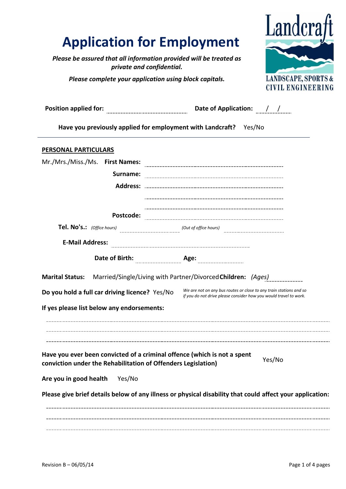# **Application for Employment**

*Please be assured that all information provided will be treated as private and confidential.*

*Please complete your application using block capitals.*



| <b>Position applied for:</b>                                                                                                                                                  | Date of Application: / /                                                                                                                |  |  |
|-------------------------------------------------------------------------------------------------------------------------------------------------------------------------------|-----------------------------------------------------------------------------------------------------------------------------------------|--|--|
| Have you previously applied for employment with Landcraft? Yes/No                                                                                                             |                                                                                                                                         |  |  |
| <b>PERSONAL PARTICULARS</b>                                                                                                                                                   |                                                                                                                                         |  |  |
| Mr./Mrs./Miss./Ms. First Names:                                                                                                                                               |                                                                                                                                         |  |  |
| Surname:                                                                                                                                                                      |                                                                                                                                         |  |  |
| <b>Address:</b>                                                                                                                                                               |                                                                                                                                         |  |  |
|                                                                                                                                                                               |                                                                                                                                         |  |  |
| Postcode:                                                                                                                                                                     |                                                                                                                                         |  |  |
| Tel. No's.: (Office hours)                                                                                                                                                    | (Out of office hours)                                                                                                                   |  |  |
| <b>E-Mail Address:</b>                                                                                                                                                        |                                                                                                                                         |  |  |
| Date of Birth:                                                                                                                                                                | Age:                                                                                                                                    |  |  |
| Marital Status: Married/Single/Living with Partner/Divorced Children: (Ages)                                                                                                  |                                                                                                                                         |  |  |
| Do you hold a full car driving licence? Yes/No                                                                                                                                | We are not on any bus routes or close to any train stations and so<br>if you do not drive please consider how you would travel to work. |  |  |
| If yes please list below any endorsements:                                                                                                                                    |                                                                                                                                         |  |  |
| Have you ever been convicted of a criminal offence (which is not a spent<br>conviction under the Rehabilitation of Offenders Legislation)<br>Are you in good health<br>Yes/No | Yes/No<br>Please give brief details below of any illness or physical disability that could affect your application:                     |  |  |
|                                                                                                                                                                               |                                                                                                                                         |  |  |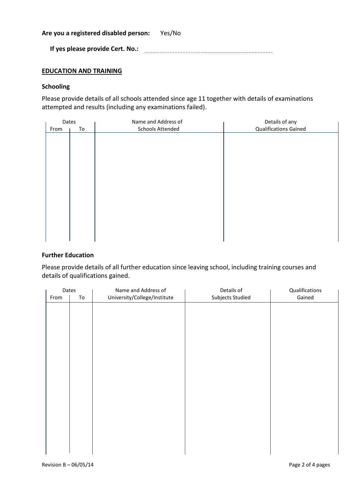**Are you a registered disabled person:** Yes/No

**If yes please provide Cert. No.:**

# **EDUCATION AND TRAINING**

### **Schooling**

Please provide details of all schools attended since age 11 together with details of examinations attempted and results (including any examinations failed).

| Dates |    | Name and Address of     | Details of any               |  |
|-------|----|-------------------------|------------------------------|--|
| From  | To | <b>Schools Attended</b> | <b>Qualifications Gained</b> |  |
|       |    |                         |                              |  |
|       |    |                         |                              |  |
|       |    |                         |                              |  |
|       |    |                         |                              |  |
|       |    |                         |                              |  |
|       |    |                         |                              |  |
|       |    |                         |                              |  |
|       |    |                         |                              |  |
|       |    |                         |                              |  |
|       |    |                         |                              |  |
|       |    |                         |                              |  |
|       |    |                         |                              |  |
|       |    |                         |                              |  |
|       |    |                         |                              |  |
|       |    |                         |                              |  |

## **Further Education**

Please provide details of all further education since leaving school, including training courses and details of qualifications gained.

| Dates |    | Name and Address of          | Details of       |        |
|-------|----|------------------------------|------------------|--------|
| From  | To | University/College/Institute | Subjects Studied | Gained |
|       |    |                              |                  |        |
|       |    |                              |                  |        |
|       |    |                              |                  |        |
|       |    |                              |                  |        |
|       |    |                              |                  |        |
|       |    |                              |                  |        |
|       |    |                              |                  |        |
|       |    |                              |                  |        |
|       |    |                              |                  |        |
|       |    |                              |                  |        |
|       |    |                              |                  |        |
|       |    |                              |                  |        |
|       |    |                              |                  |        |
|       |    |                              |                  |        |
|       |    |                              |                  |        |
|       |    |                              |                  |        |
|       |    |                              |                  |        |
|       |    |                              |                  |        |
|       |    |                              |                  |        |
|       |    |                              |                  |        |
|       |    |                              |                  |        |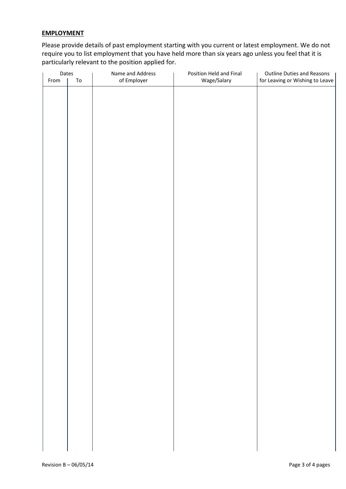# **EMPLOYMENT**

Please provide details of past employment starting with you current or latest employment. We do not require you to list employment that you have held more than six years ago unless you feel that it is particularly relevant to the position applied for.

| Dates |            | Name and Address | Position Held and Final | <b>Outline Duties and Reasons</b> |  |
|-------|------------|------------------|-------------------------|-----------------------------------|--|
| From  | ${\tt To}$ | of Employer      | Wage/Salary             | for Leaving or Wishing to Leave   |  |
|       |            |                  |                         |                                   |  |
|       |            |                  |                         |                                   |  |
|       |            |                  |                         |                                   |  |
|       |            |                  |                         |                                   |  |
|       |            |                  |                         |                                   |  |
|       |            |                  |                         |                                   |  |
|       |            |                  |                         |                                   |  |
|       |            |                  |                         |                                   |  |
|       |            |                  |                         |                                   |  |
|       |            |                  |                         |                                   |  |
|       |            |                  |                         |                                   |  |
|       |            |                  |                         |                                   |  |
|       |            |                  |                         |                                   |  |
|       |            |                  |                         |                                   |  |
|       |            |                  |                         |                                   |  |
|       |            |                  |                         |                                   |  |
|       |            |                  |                         |                                   |  |
|       |            |                  |                         |                                   |  |
|       |            |                  |                         |                                   |  |
|       |            |                  |                         |                                   |  |
|       |            |                  |                         |                                   |  |
|       |            |                  |                         |                                   |  |
|       |            |                  |                         |                                   |  |
|       |            |                  |                         |                                   |  |
|       |            |                  |                         |                                   |  |
|       |            |                  |                         |                                   |  |
|       |            |                  |                         |                                   |  |
|       |            |                  |                         |                                   |  |
|       |            |                  |                         |                                   |  |
|       |            |                  |                         |                                   |  |
|       |            |                  |                         |                                   |  |
|       |            |                  |                         |                                   |  |
|       |            |                  |                         |                                   |  |
|       |            |                  |                         |                                   |  |
|       |            |                  |                         |                                   |  |
|       |            |                  |                         |                                   |  |
|       |            |                  |                         |                                   |  |
|       |            |                  |                         |                                   |  |
|       |            |                  |                         |                                   |  |
|       |            |                  |                         |                                   |  |
|       |            |                  |                         |                                   |  |
|       |            |                  |                         |                                   |  |
|       |            |                  |                         |                                   |  |
|       |            |                  |                         |                                   |  |
|       |            |                  |                         |                                   |  |
|       |            |                  |                         |                                   |  |
|       |            |                  |                         |                                   |  |
|       |            |                  |                         |                                   |  |
|       |            |                  |                         |                                   |  |
|       |            |                  |                         |                                   |  |
|       |            |                  |                         |                                   |  |